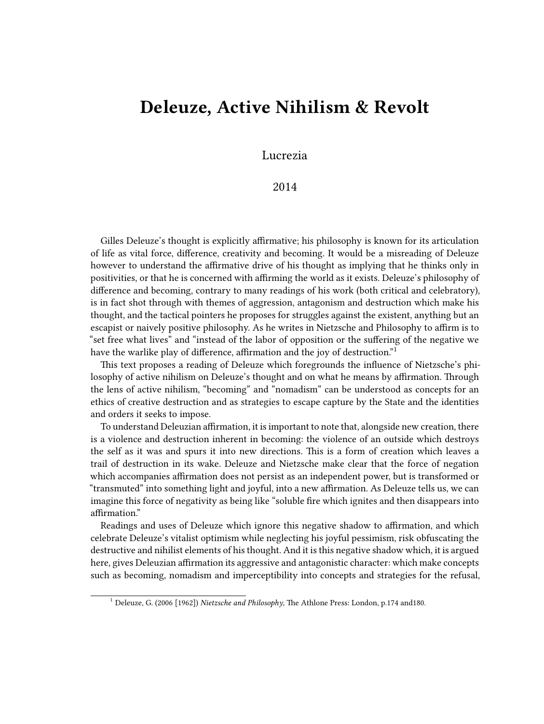## **Deleuze, Active Nihilism & Revolt**

Lucrezia

2014

Gilles Deleuze's thought is explicitly affirmative; his philosophy is known for its articulation of life as vital force, difference, creativity and becoming. It would be a misreading of Deleuze however to understand the affirmative drive of his thought as implying that he thinks only in positivities, or that he is concerned with affirming the world as it exists. Deleuze's philosophy of difference and becoming, contrary to many readings of his work (both critical and celebratory), is in fact shot through with themes of aggression, antagonism and destruction which make his thought, and the tactical pointers he proposes for struggles against the existent, anything but an escapist or naively positive philosophy. As he writes in Nietzsche and Philosophy to affirm is to "set free what lives" and "instead of the labor of opposition or the suffering of the negative we have the warlike play of difference, affirmation and the joy of destruction."<sup>1</sup>

This text proposes a reading of Deleuze which foregrounds the influence of Nietzsche's philosophy of active nihilism on Deleuze's thought and on what he means by affirmation. Through the lens of active nihilism, "becoming" and "nomadism" can be understood as concepts for an ethics of creative destruction and as strategies to escape capture by the State and the identities and orders it seeks to impose.

To understand Deleuzian affirmation, it is important to note that, alongside new creation, there is a violence and destruction inherent in becoming: the violence of an outside which destroys the self as it was and spurs it into new directions. This is a form of creation which leaves a trail of destruction in its wake. Deleuze and Nietzsche make clear that the force of negation which accompanies affirmation does not persist as an independent power, but is transformed or "transmuted" into something light and joyful, into a new affirmation. As Deleuze tells us, we can imagine this force of negativity as being like "soluble fire which ignites and then disappears into affirmation."

Readings and uses of Deleuze which ignore this negative shadow to affirmation, and which celebrate Deleuze's vitalist optimism while neglecting his joyful pessimism, risk obfuscating the destructive and nihilist elements of his thought. And it is this negative shadow which, it is argued here, gives Deleuzian affirmation its aggressive and antagonistic character: which make concepts such as becoming, nomadism and imperceptibility into concepts and strategies for the refusal,

<sup>1</sup> Deleuze, G. (2006 [1962]) *Nietzsche and Philosophy*, The Athlone Press: London, p.174 and180.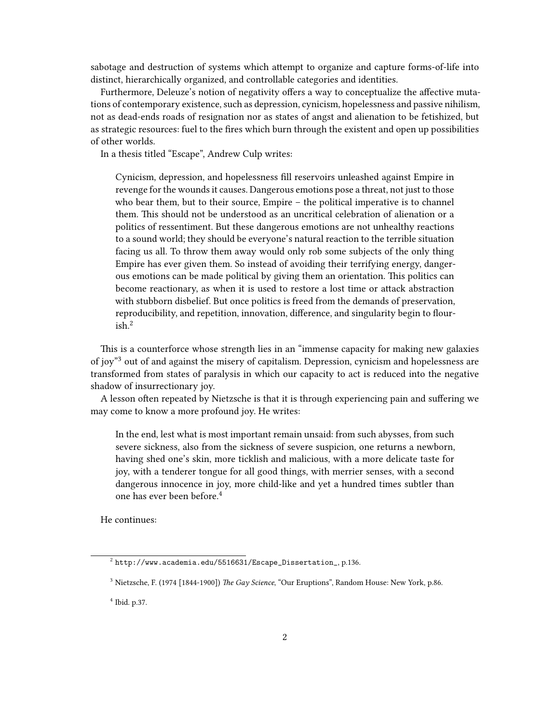sabotage and destruction of systems which attempt to organize and capture forms-of-life into distinct, hierarchically organized, and controllable categories and identities.

Furthermore, Deleuze's notion of negativity offers a way to conceptualize the affective mutations of contemporary existence, such as depression, cynicism, hopelessness and passive nihilism, not as dead-ends roads of resignation nor as states of angst and alienation to be fetishized, but as strategic resources: fuel to the fires which burn through the existent and open up possibilities of other worlds.

In a thesis titled "Escape", Andrew Culp writes:

Cynicism, depression, and hopelessness fill reservoirs unleashed against Empire in revenge for the wounds it causes. Dangerous emotions pose a threat, not just to those who bear them, but to their source, Empire – the political imperative is to channel them. This should not be understood as an uncritical celebration of alienation or a politics of ressentiment. But these dangerous emotions are not unhealthy reactions to a sound world; they should be everyone's natural reaction to the terrible situation facing us all. To throw them away would only rob some subjects of the only thing Empire has ever given them. So instead of avoiding their terrifying energy, dangerous emotions can be made political by giving them an orientation. This politics can become reactionary, as when it is used to restore a lost time or attack abstraction with stubborn disbelief. But once politics is freed from the demands of preservation, reproducibility, and repetition, innovation, difference, and singularity begin to flour $ish.<sup>2</sup>$ 

This is a counterforce whose strength lies in an "immense capacity for making new galaxies of joy"<sup>3</sup> out of and against the misery of capitalism. Depression, cynicism and hopelessness are transformed from states of paralysis in which our capacity to act is reduced into the negative shadow of insurrectionary joy.

A lesson often repeated by Nietzsche is that it is through experiencing pain and suffering we may come to know a more profound joy. He writes:

In the end, lest what is most important remain unsaid: from such abysses, from such severe sickness, also from the sickness of severe suspicion, one returns a newborn, having shed one's skin, more ticklish and malicious, with a more delicate taste for joy, with a tenderer tongue for all good things, with merrier senses, with a second dangerous innocence in joy, more child-like and yet a hundred times subtler than one has ever been before.<sup>4</sup>

He continues:

 $^2$  [http://www.academia.edu/5516631/Escape\\_Dissertation\\_](http://www.academia.edu/5516631/Escape_Dissertation_), p.136.

<sup>3</sup> Nietzsche, F. (1974 [1844-1900]) *The Gay Science*, "Our Eruptions", Random House: New York, p.86.

<sup>4</sup> Ibid. p.37.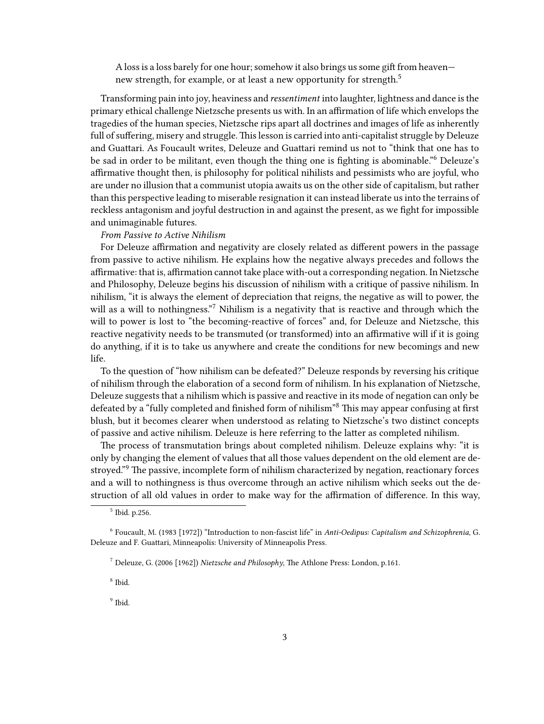A loss is a loss barely for one hour; somehow it also brings us some gift from heaven new strength, for example, or at least a new opportunity for strength.<sup>5</sup>

Transforming pain into joy, heaviness and *ressentiment* into laughter, lightness and dance is the primary ethical challenge Nietzsche presents us with. In an affirmation of life which envelops the tragedies of the human species, Nietzsche rips apart all doctrines and images of life as inherently full of suffering, misery and struggle. This lesson is carried into anti-capitalist struggle by Deleuze and Guattari. As Foucault writes, Deleuze and Guattari remind us not to "think that one has to be sad in order to be militant, even though the thing one is fighting is abominable."<sup>6</sup> Deleuze's affirmative thought then, is philosophy for political nihilists and pessimists who are joyful, who are under no illusion that a communist utopia awaits us on the other side of capitalism, but rather than this perspective leading to miserable resignation it can instead liberate us into the terrains of reckless antagonism and joyful destruction in and against the present, as we fight for impossible and unimaginable futures.

## *From Passive to Active Nihilism*

For Deleuze affirmation and negativity are closely related as different powers in the passage from passive to active nihilism. He explains how the negative always precedes and follows the affirmative: that is, affirmation cannot take place with-out a corresponding negation. In Nietzsche and Philosophy, Deleuze begins his discussion of nihilism with a critique of passive nihilism. In nihilism, "it is always the element of depreciation that reigns, the negative as will to power, the will as a will to nothingness."<sup>7</sup> Nihilism is a negativity that is reactive and through which the will to power is lost to "the becoming-reactive of forces" and, for Deleuze and Nietzsche, this reactive negativity needs to be transmuted (or transformed) into an affirmative will if it is going do anything, if it is to take us anywhere and create the conditions for new becomings and new life.

To the question of "how nihilism can be defeated?" Deleuze responds by reversing his critique of nihilism through the elaboration of a second form of nihilism. In his explanation of Nietzsche, Deleuze suggests that a nihilism which is passive and reactive in its mode of negation can only be defeated by a "fully completed and finished form of nihilism"<sup>8</sup> This may appear confusing at first blush, but it becomes clearer when understood as relating to Nietzsche's two distinct concepts of passive and active nihilism. Deleuze is here referring to the latter as completed nihilism.

The process of transmutation brings about completed nihilism. Deleuze explains why: "it is only by changing the element of values that all those values dependent on the old element are destroyed."<sup>9</sup> The passive, incomplete form of nihilism characterized by negation, reactionary forces and a will to nothingness is thus overcome through an active nihilism which seeks out the destruction of all old values in order to make way for the affirmation of difference. In this way,

8 Ibid.

<sup>9</sup> Ibid.

<sup>5</sup> Ibid. p.256.

<sup>6</sup> Foucault, M. (1983 [1972]) "Introduction to non-fascist life" in *Anti-Oedipus: Capitalism and Schizophrenia*, G. Deleuze and F. Guattari, Minneapolis: University of Minneapolis Press.

<sup>7</sup> Deleuze, G. (2006 [1962]) *Nietzsche and Philosophy*, The Athlone Press: London, p.161.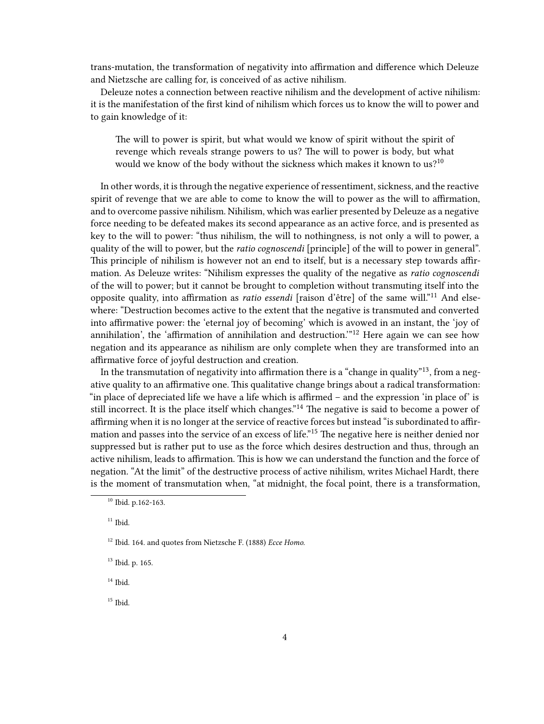trans-mutation, the transformation of negativity into affirmation and difference which Deleuze and Nietzsche are calling for, is conceived of as active nihilism.

Deleuze notes a connection between reactive nihilism and the development of active nihilism: it is the manifestation of the first kind of nihilism which forces us to know the will to power and to gain knowledge of it:

The will to power is spirit, but what would we know of spirit without the spirit of revenge which reveals strange powers to us? The will to power is body, but what would we know of the body without the sickness which makes it known to us?<sup>10</sup>

In other words, it is through the negative experience of ressentiment, sickness, and the reactive spirit of revenge that we are able to come to know the will to power as the will to affirmation, and to overcome passive nihilism. Nihilism, which was earlier presented by Deleuze as a negative force needing to be defeated makes its second appearance as an active force, and is presented as key to the will to power: "thus nihilism, the will to nothingness, is not only a will to power, a quality of the will to power, but the *ratio cognoscendi* [principle] of the will to power in general". This principle of nihilism is however not an end to itself, but is a necessary step towards affirmation. As Deleuze writes: "Nihilism expresses the quality of the negative as *ratio cognoscendi* of the will to power; but it cannot be brought to completion without transmuting itself into the opposite quality, into affirmation as *ratio essendi* [raison d'être] of the same will."<sup>11</sup> And elsewhere: "Destruction becomes active to the extent that the negative is transmuted and converted into affirmative power: the 'eternal joy of becoming' which is avowed in an instant, the 'joy of annihilation', the 'affirmation of annihilation and destruction."<sup>12</sup> Here again we can see how negation and its appearance as nihilism are only complete when they are transformed into an affirmative force of joyful destruction and creation.

In the transmutation of negativity into affirmation there is a "change in quality"13, from a negative quality to an affirmative one. This qualitative change brings about a radical transformation: "in place of depreciated life we have a life which is affirmed – and the expression 'in place of' is still incorrect. It is the place itself which changes."<sup>14</sup> The negative is said to become a power of affirming when it is no longer at the service of reactive forces but instead "is subordinated to affirmation and passes into the service of an excess of life."<sup>15</sup> The negative here is neither denied nor suppressed but is rather put to use as the force which desires destruction and thus, through an active nihilism, leads to affirmation. This is how we can understand the function and the force of negation. "At the limit" of the destructive process of active nihilism, writes Michael Hardt, there is the moment of transmutation when, "at midnight, the focal point, there is a transformation,

 $14$  Ibid.

 $15$  Ibid.

<sup>10</sup> Ibid. p.162-163.

 $11$  Ibid.

<sup>12</sup> Ibid. 164. and quotes from Nietzsche F. (1888) *Ecce Homo*.

<sup>13</sup> Ibid. p. 165.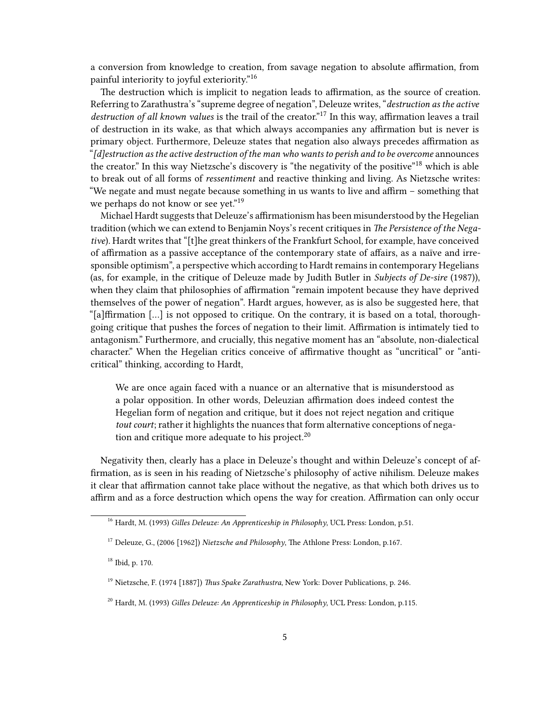a conversion from knowledge to creation, from savage negation to absolute affirmation, from painful interiority to joyful exteriority."<sup>16</sup>

The destruction which is implicit to negation leads to affirmation, as the source of creation. Referring to Zarathustra's "supreme degree of negation", Deleuze writes, "*destruction as the active destruction of all known values* is the trail of the creator."<sup>17</sup> In this way, affirmation leaves a trail of destruction in its wake, as that which always accompanies any affirmation but is never is primary object. Furthermore, Deleuze states that negation also always precedes affirmation as "*[d]estruction as the active destruction of the man who wants to perish and to be overcome* announces the creator." In this way Nietzsche's discovery is "the negativity of the positive"<sup>18</sup> which is able to break out of all forms of *ressentiment* and reactive thinking and living. As Nietzsche writes: "We negate and must negate because something in us wants to live and affirm – something that we perhaps do not know or see yet."<sup>19</sup>

Michael Hardt suggests that Deleuze's affirmationism has been misunderstood by the Hegelian tradition (which we can extend to Benjamin Noys's recent critiques in *The Persistence of the Negative*). Hardt writes that "[t]he great thinkers of the Frankfurt School, for example, have conceived of affirmation as a passive acceptance of the contemporary state of affairs, as a naïve and irresponsible optimism", a perspective which according to Hardt remains in contemporary Hegelians (as, for example, in the critique of Deleuze made by Judith Butler in *Subjects of De-sire* (1987)), when they claim that philosophies of affirmation "remain impotent because they have deprived themselves of the power of negation". Hardt argues, however, as is also be suggested here, that "[a]ffirmation […] is not opposed to critique. On the contrary, it is based on a total, thoroughgoing critique that pushes the forces of negation to their limit. Affirmation is intimately tied to antagonism." Furthermore, and crucially, this negative moment has an "absolute, non-dialectical character." When the Hegelian critics conceive of affirmative thought as "uncritical" or "anticritical" thinking, according to Hardt,

We are once again faced with a nuance or an alternative that is misunderstood as a polar opposition. In other words, Deleuzian affirmation does indeed contest the Hegelian form of negation and critique, but it does not reject negation and critique *tout court*; rather it highlights the nuances that form alternative conceptions of negation and critique more adequate to his project. $20$ 

Negativity then, clearly has a place in Deleuze's thought and within Deleuze's concept of affirmation, as is seen in his reading of Nietzsche's philosophy of active nihilism. Deleuze makes it clear that affirmation cannot take place without the negative, as that which both drives us to affirm and as a force destruction which opens the way for creation. Affirmation can only occur

<sup>16</sup> Hardt, M. (1993) *Gilles Deleuze: An Apprenticeship in Philosophy*, UCL Press: London, p.51.

<sup>17</sup> Deleuze, G., (2006 [1962]) *Nietzsche and Philosophy*, The Athlone Press: London, p.167.

<sup>18</sup> Ibid, p. 170.

<sup>19</sup> Nietzsche, F. (1974 [1887]) *Thus Spake Zarathustra*, New York: Dover Publications, p. 246.

<sup>20</sup> Hardt, M. (1993) *Gilles Deleuze: An Apprenticeship in Philosophy*, UCL Press: London, p.115.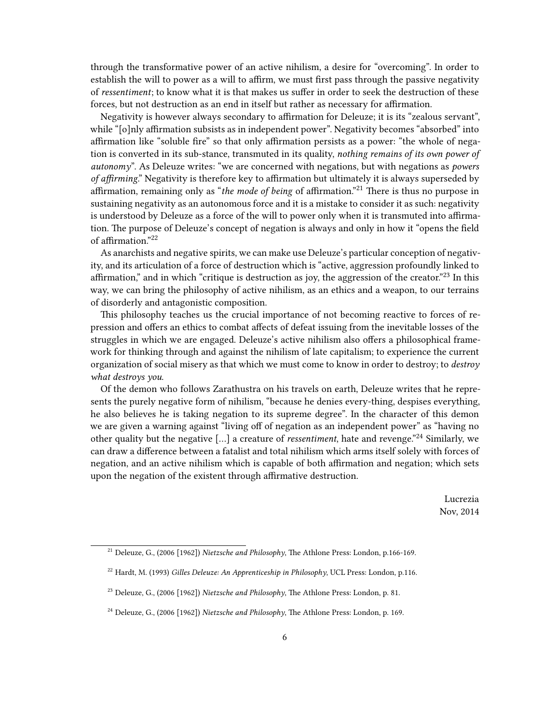through the transformative power of an active nihilism, a desire for "overcoming". In order to establish the will to power as a will to affirm, we must first pass through the passive negativity of *ressentiment*; to know what it is that makes us suffer in order to seek the destruction of these forces, but not destruction as an end in itself but rather as necessary for affirmation.

Negativity is however always secondary to affirmation for Deleuze; it is its "zealous servant", while "[o]nly affirmation subsists as in independent power". Negativity becomes "absorbed" into affirmation like "soluble fire" so that only affirmation persists as a power: "the whole of negation is converted in its sub-stance, transmuted in its quality, *nothing remains of its own power of autonomy*". As Deleuze writes: "we are concerned with negations, but with negations as *powers of affirming*." Negativity is therefore key to affirmation but ultimately it is always superseded by affirmation, remaining only as "*the mode of being* of affirmation."<sup>21</sup> There is thus no purpose in sustaining negativity as an autonomous force and it is a mistake to consider it as such: negativity is understood by Deleuze as a force of the will to power only when it is transmuted into affirmation. The purpose of Deleuze's concept of negation is always and only in how it "opens the field of affirmation."<sup>22</sup>

As anarchists and negative spirits, we can make use Deleuze's particular conception of negativity, and its articulation of a force of destruction which is "active, aggression profoundly linked to affirmation," and in which "critique is destruction as joy, the aggression of the creator."<sup>23</sup> In this way, we can bring the philosophy of active nihilism, as an ethics and a weapon, to our terrains of disorderly and antagonistic composition.

This philosophy teaches us the crucial importance of not becoming reactive to forces of repression and offers an ethics to combat affects of defeat issuing from the inevitable losses of the struggles in which we are engaged. Deleuze's active nihilism also offers a philosophical framework for thinking through and against the nihilism of late capitalism; to experience the current organization of social misery as that which we must come to know in order to destroy; to *destroy what destroys you*.

Of the demon who follows Zarathustra on his travels on earth, Deleuze writes that he represents the purely negative form of nihilism, "because he denies every-thing, despises everything, he also believes he is taking negation to its supreme degree". In the character of this demon we are given a warning against "living off of negation as an independent power" as "having no other quality but the negative […] a creature of *ressentiment*, hate and revenge."<sup>24</sup> Similarly, we can draw a difference between a fatalist and total nihilism which arms itself solely with forces of negation, and an active nihilism which is capable of both affirmation and negation; which sets upon the negation of the existent through affirmative destruction.

> Lucrezia Nov, 2014

<sup>21</sup> Deleuze, G., (2006 [1962]) *Nietzsche and Philosophy*, The Athlone Press: London, p.166-169.

<sup>22</sup> Hardt, M. (1993) *Gilles Deleuze: An Apprenticeship in Philosophy*, UCL Press: London, p.116.

<sup>23</sup> Deleuze, G., (2006 [1962]) *Nietzsche and Philosophy*, The Athlone Press: London, p. 81.

<sup>24</sup> Deleuze, G., (2006 [1962]) *Nietzsche and Philosophy*, The Athlone Press: London, p. 169.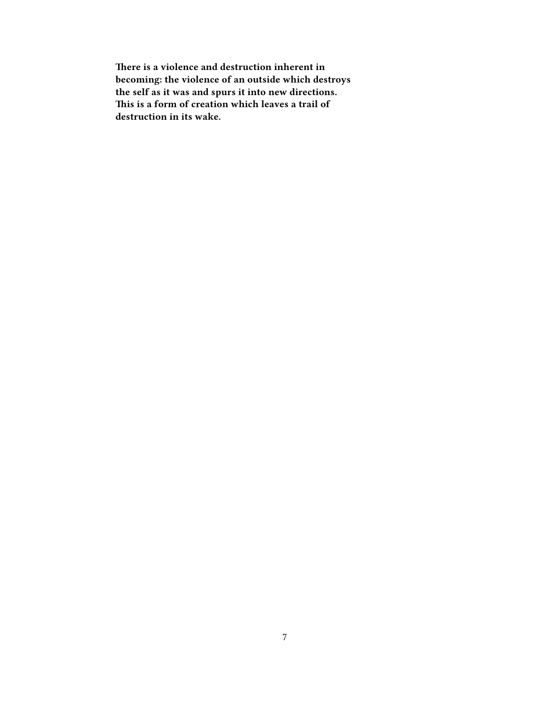**There is a violence and destruction inherent in becoming: the violence of an outside which destroys the self as it was and spurs it into new directions. This is a form of creation which leaves a trail of destruction in its wake.**